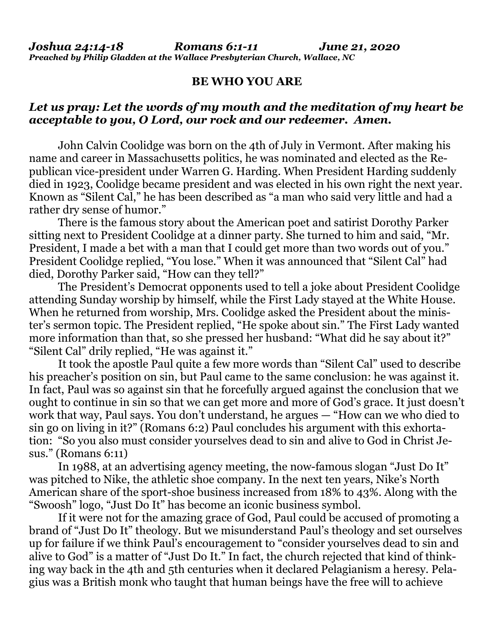## **BE WHO YOU ARE**

## *Let us pray: Let the words of my mouth and the meditation of my heart be acceptable to you, O Lord, our rock and our redeemer. Amen.*

John Calvin Coolidge was born on the 4th of July in Vermont. After making his name and career in Massachusetts politics, he was nominated and elected as the Republican vice-president under Warren G. Harding. When President Harding suddenly died in 1923, Coolidge became president and was elected in his own right the next year. Known as "Silent Cal," he has been described as "a man who said very little and had a rather dry sense of humor."

There is the famous story about the American poet and satirist Dorothy Parker sitting next to President Coolidge at a dinner party. She turned to him and said, "Mr. President, I made a bet with a man that I could get more than two words out of you." President Coolidge replied, "You lose." When it was announced that "Silent Cal" had died, Dorothy Parker said, "How can they tell?"

The President's Democrat opponents used to tell a joke about President Coolidge attending Sunday worship by himself, while the First Lady stayed at the White House. When he returned from worship, Mrs. Coolidge asked the President about the minister's sermon topic. The President replied, "He spoke about sin." The First Lady wanted more information than that, so she pressed her husband: "What did he say about it?" "Silent Cal" drily replied, "He was against it."

It took the apostle Paul quite a few more words than "Silent Cal" used to describe his preacher's position on sin, but Paul came to the same conclusion: he was against it. In fact, Paul was so against sin that he forcefully argued against the conclusion that we ought to continue in sin so that we can get more and more of God's grace. It just doesn't work that way, Paul says. You don't understand, he argues — "How can we who died to sin go on living in it?" (Romans 6:2) Paul concludes his argument with this exhortation: "So you also must consider yourselves dead to sin and alive to God in Christ Jesus." (Romans 6:11)

In 1988, at an advertising agency meeting, the now-famous slogan "Just Do It" was pitched to Nike, the athletic shoe company. In the next ten years, Nike's North American share of the sport-shoe business increased from 18% to 43%. Along with the "Swoosh" logo, "Just Do It" has become an iconic business symbol.

If it were not for the amazing grace of God, Paul could be accused of promoting a brand of "Just Do It" theology. But we misunderstand Paul's theology and set ourselves up for failure if we think Paul's encouragement to "consider yourselves dead to sin and alive to God" is a matter of "Just Do It." In fact, the church rejected that kind of thinking way back in the 4th and 5th centuries when it declared Pelagianism a heresy. Pelagius was a British monk who taught that human beings have the free will to achieve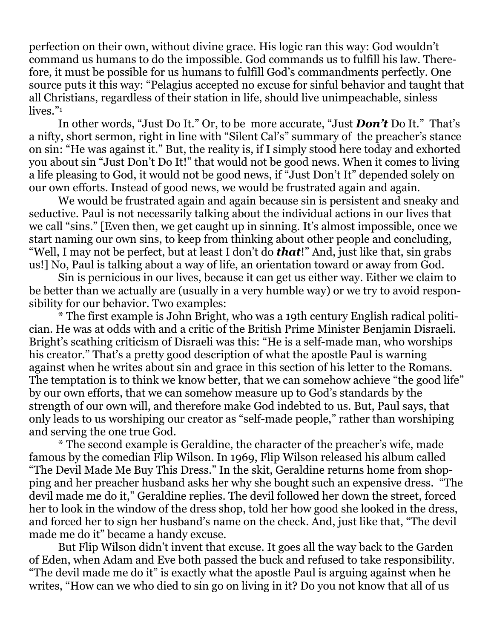perfection on their own, without divine grace. His logic ran this way: God wouldn't command us humans to do the impossible. God commands us to fulfill his law. Therefore, it must be possible for us humans to fulfill God's commandments perfectly. One source puts it this way: "Pelagius accepted no excuse for sinful behavior and taught that all Christians, regardless of their station in life, should live unimpeachable, sinless lives."<sup>1</sup>

In other words, "Just Do It." Or, to be more accurate, "Just *Don't* Do It." That's a nifty, short sermon, right in line with "Silent Cal's" summary of the preacher's stance on sin: "He was against it." But, the reality is, if I simply stood here today and exhorted you about sin "Just Don't Do It!" that would not be good news. When it comes to living a life pleasing to God, it would not be good news, if "Just Don't It" depended solely on our own efforts. Instead of good news, we would be frustrated again and again.

We would be frustrated again and again because sin is persistent and sneaky and seductive. Paul is not necessarily talking about the individual actions in our lives that we call "sins." [Even then, we get caught up in sinning. It's almost impossible, once we start naming our own sins, to keep from thinking about other people and concluding, "Well, I may not be perfect, but at least I don't do *that*!" And, just like that, sin grabs us!] No, Paul is talking about a way of life, an orientation toward or away from God.

Sin is pernicious in our lives, because it can get us either way. Either we claim to be better than we actually are (usually in a very humble way) or we try to avoid responsibility for our behavior. Two examples:

\* The first example is John Bright, who was a 19th century English radical politician. He was at odds with and a critic of the British Prime Minister Benjamin Disraeli. Bright's scathing criticism of Disraeli was this: "He is a self-made man, who worships his creator." That's a pretty good description of what the apostle Paul is warning against when he writes about sin and grace in this section of his letter to the Romans. The temptation is to think we know better, that we can somehow achieve "the good life" by our own efforts, that we can somehow measure up to God's standards by the strength of our own will, and therefore make God indebted to us. But, Paul says, that only leads to us worshiping our creator as "self-made people," rather than worshiping and serving the one true God.

\* The second example is Geraldine, the character of the preacher's wife, made famous by the comedian Flip Wilson. In 1969, Flip Wilson released his album called "The Devil Made Me Buy This Dress." In the skit, Geraldine returns home from shopping and her preacher husband asks her why she bought such an expensive dress. "The devil made me do it," Geraldine replies. The devil followed her down the street, forced her to look in the window of the dress shop, told her how good she looked in the dress, and forced her to sign her husband's name on the check. And, just like that, "The devil made me do it" became a handy excuse.

But Flip Wilson didn't invent that excuse. It goes all the way back to the Garden of Eden, when Adam and Eve both passed the buck and refused to take responsibility. "The devil made me do it" is exactly what the apostle Paul is arguing against when he writes, "How can we who died to sin go on living in it? Do you not know that all of us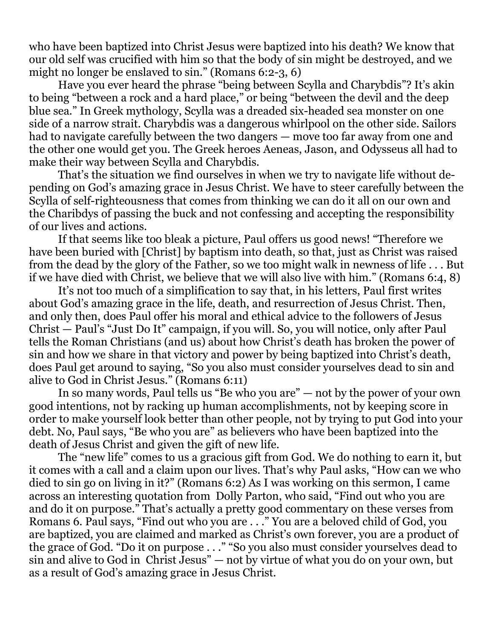who have been baptized into Christ Jesus were baptized into his death? We know that our old self was crucified with him so that the body of sin might be destroyed, and we might no longer be enslaved to sin." (Romans 6:2-3, 6)

Have you ever heard the phrase "being between Scylla and Charybdis"? It's akin to being "between a rock and a hard place," or being "between the devil and the deep blue sea." In Greek mythology, Scylla was a dreaded six-headed sea monster on one side of a narrow strait. Charybdis was a dangerous whirlpool on the other side. Sailors had to navigate carefully between the two dangers — move too far away from one and the other one would get you. The Greek heroes Aeneas, Jason, and Odysseus all had to make their way between Scylla and Charybdis.

That's the situation we find ourselves in when we try to navigate life without depending on God's amazing grace in Jesus Christ. We have to steer carefully between the Scylla of self-righteousness that comes from thinking we can do it all on our own and the Charibdys of passing the buck and not confessing and accepting the responsibility of our lives and actions.

If that seems like too bleak a picture, Paul offers us good news! "Therefore we have been buried with [Christ] by baptism into death, so that, just as Christ was raised from the dead by the glory of the Father, so we too might walk in newness of life . . . But if we have died with Christ, we believe that we will also live with him." (Romans 6:4, 8)

It's not too much of a simplification to say that, in his letters, Paul first writes about God's amazing grace in the life, death, and resurrection of Jesus Christ. Then, and only then, does Paul offer his moral and ethical advice to the followers of Jesus Christ — Paul's "Just Do It" campaign, if you will. So, you will notice, only after Paul tells the Roman Christians (and us) about how Christ's death has broken the power of sin and how we share in that victory and power by being baptized into Christ's death, does Paul get around to saying, "So you also must consider yourselves dead to sin and alive to God in Christ Jesus." (Romans 6:11)

In so many words, Paul tells us "Be who you are" — not by the power of your own good intentions, not by racking up human accomplishments, not by keeping score in order to make yourself look better than other people, not by trying to put God into your debt. No, Paul says, "Be who you are" as believers who have been baptized into the death of Jesus Christ and given the gift of new life.

The "new life" comes to us a gracious gift from God. We do nothing to earn it, but it comes with a call and a claim upon our lives. That's why Paul asks, "How can we who died to sin go on living in it?" (Romans 6:2) As I was working on this sermon, I came across an interesting quotation from Dolly Parton, who said, "Find out who you are and do it on purpose." That's actually a pretty good commentary on these verses from Romans 6. Paul says, "Find out who you are . . ." You are a beloved child of God, you are baptized, you are claimed and marked as Christ's own forever, you are a product of the grace of God. "Do it on purpose . . ." "So you also must consider yourselves dead to sin and alive to God in Christ Jesus" — not by virtue of what you do on your own, but as a result of God's amazing grace in Jesus Christ.